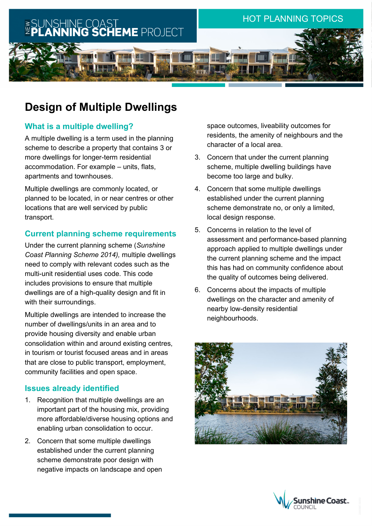

# **Design of Multiple Dwellings**

# **What is a multiple dwelling?**

A multiple dwelling is a term used in the planning scheme to describe a property that contains 3 or more dwellings for longer-term residential accommodation. For example – units, flats, apartments and townhouses.

Multiple dwellings are commonly located, or planned to be located, in or near centres or other locations that are well serviced by public transport.

## **Current planning scheme requirements**

Under the current planning scheme (*Sunshine Coast Planning Scheme 2014),* multiple dwellings need to comply with relevant codes such as the multi-unit residential uses code. This code includes provisions to ensure that multiple dwellings are of a high-quality design and fit in with their surroundings.

Multiple dwellings are intended to increase the number of dwellings/units in an area and to provide housing diversity and enable urban consolidation within and around existing centres, in tourism or tourist focused areas and in areas that are close to public transport, employment, community facilities and open space.

## **Issues already identified**

- 1. Recognition that multiple dwellings are an important part of the housing mix, providing more affordable/diverse housing options and enabling urban consolidation to occur.
- 2. Concern that some multiple dwellings established under the current planning scheme demonstrate poor design with negative impacts on landscape and open

space outcomes, liveability outcomes for residents, the amenity of neighbours and the character of a local area.

- 3. Concern that under the current planning scheme, multiple dwelling buildings have become too large and bulky.
- 4. Concern that some multiple dwellings established under the current planning scheme demonstrate no, or only a limited, local design response.
- 5. Concerns in relation to the level of assessment and performance-based planning approach applied to multiple dwellings under the current planning scheme and the impact this has had on community confidence about the quality of outcomes being delivered.
- 6. Concerns about the impacts of multiple dwellings on the character and amenity of nearby low-density residential neighbourhoods.